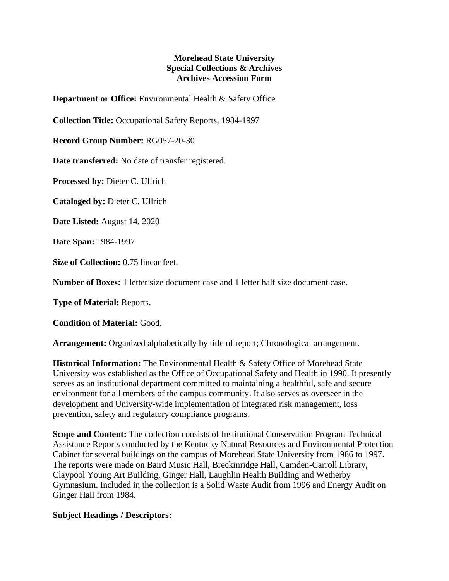## **Morehead State University Special Collections & Archives Archives Accession Form**

**Department or Office:** Environmental Health & Safety Office

**Collection Title:** Occupational Safety Reports, 1984-1997

**Record Group Number:** RG057-20-30

**Date transferred:** No date of transfer registered.

**Processed by:** Dieter C. Ullrich

**Cataloged by:** Dieter C. Ullrich

**Date Listed:** August 14, 2020

**Date Span:** 1984-1997

**Size of Collection:** 0.75 linear feet.

**Number of Boxes:** 1 letter size document case and 1 letter half size document case.

**Type of Material:** Reports.

**Condition of Material:** Good.

**Arrangement:** Organized alphabetically by title of report; Chronological arrangement.

**Historical Information:** The Environmental Health & Safety Office of Morehead State University was established as the Office of Occupational Safety and Health in 1990. It presently serves as an institutional department committed to maintaining a healthful, safe and secure environment for all members of the campus community. It also serves as overseer in the development and University-wide implementation of integrated risk management, loss prevention, safety and regulatory compliance programs.

**Scope and Content:** The collection consists of Institutional Conservation Program Technical Assistance Reports conducted by the Kentucky Natural Resources and Environmental Protection Cabinet for several buildings on the campus of Morehead State University from 1986 to 1997. The reports were made on Baird Music Hall, Breckinridge Hall, Camden-Carroll Library, Claypool Young Art Building, Ginger Hall, Laughlin Health Building and Wetherby Gymnasium. Included in the collection is a Solid Waste Audit from 1996 and Energy Audit on Ginger Hall from 1984.

## **Subject Headings / Descriptors:**